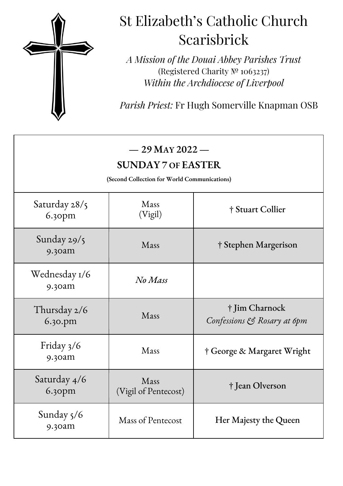

## St Elizabeth's Catholic Church Scarisbrick

*A Mission of the Douai Abbey Parishes Trust* (Registered Charity № 1063237) *Within the Archdiocese of Liverpool*

*Parish Priest:* Fr Hugh Somerville Knapman OSB

| $-29$ May 2022 $-$<br><b>SUNDAY 7 OF EASTER</b><br>(Second Collection for World Communications) |                              |                                               |
|-------------------------------------------------------------------------------------------------|------------------------------|-----------------------------------------------|
| Saturday $28/5$<br>6.30pm                                                                       | Mass<br>(Vigil)              | † Stuart Collier                              |
| Sunday $29/5$<br>9.30am                                                                         | Mass                         | † Stephen Margerison                          |
| Wednesday 1/6<br>9.30am                                                                         | No Mass                      |                                               |
| Thursday 2/6<br>6.30.pm                                                                         | Mass                         | † Jim Charnock<br>Confessions & Rosary at 6pm |
| Friday 3/6<br>9.30am                                                                            | Mass                         | † George & Margaret Wright                    |
| Saturday 4/6<br>6.30pm                                                                          | Mass<br>(Vigil of Pentecost) | † Jean Olverson                               |
| Sunday 5/6<br>9.30am                                                                            | Mass of Pentecost            | Her Majesty the Queen                         |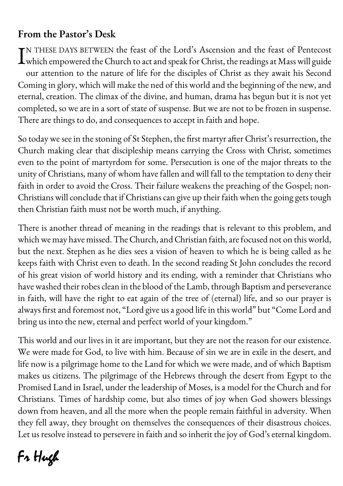#### **From the Pastor's Desk**

TN THESE DAYS BETWEEN the feast of the Lord's Ascension and the feast of Pentecost IN THESE DAYS BETWEEN the feast of the Lord's Ascension and the feast of Pentecost<br>which empowered the Church to act and speak for Christ, the readings at Mass will guide our attention to the nature of life for the disciples of Christ as they await his Second Coming in glory, which will make the ned of this world and the beginning of the new, and eternal, creation. The climax of the divine, and human, drama has begun but it is not yet completed, so we are in a sort of state of suspense. But we are not to be frozen in suspense. There are things to do, and consequences to accept in faith and hope.

So today we see in the stoning of St Stephen, the first martyr after Christ's resurrection, the Church making clear that discipleship means carrying the Cross with Christ, sometimes even to the point of martyrdom for some. Persecution is one of the major threats to the unity of Christians, many of whom have fallen and will fall to the temptation to deny their faith in order to avoid the Cross. Their failure weakens the preaching of the Gospel; non-Christians will conclude that if Christians can give up their faith when the going gets tough then Christian faith must not be worth much, if anything.

There is another thread of meaning in the readings that is relevant to this problem, and which we may have missed. The Church, and Christian faith, are focused not on this world, but the next. Stephen as he dies sees a vision of heaven to which he is being called as he keeps faith with Christ even to death. In the second reading St John concludes the record of his great vision of world history and its ending, with a reminder that Christians who have washed their robes clean in the blood of the Lamb, through Baptism and perseverance in faith, will have the right to eat again of the tree of (eternal) life, and so our prayer is always first and foremost not, "Lord give us a good life in this world" but "Come Lord and bring us into the new, eternal and perfect world of your kingdom."

This world and our lives in it are important, but they are not the reason for our existence. We were made for God, to live with him. Because of sin we are in exile in the desert, and life now is a pilgrimage home to the Land for which we were made, and of which Baptism makes us citizens. The pilgrimage of the Hebrews through the desert from Egypt to the Promised Land in Israel, under the leadership of Moses, is a model for the Church and for Christians. Times of hardship come, but also times of joy when God showers blessings down from heaven, and all the more when the people remain faithful in adversity. When they fell away, they brought on themselves the consequences of their disastrous choices. Let us resolve instead to persevere in faith and so inherit the joy of God's eternal kingdom.

# Fr Hugh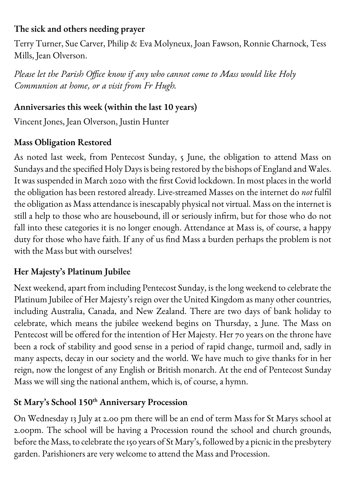#### **The sick and others needing prayer**

Terry Turner, Sue Carver, Philip & Eva Molyneux, Joan Fawson, Ronnie Charnock, Tess Mills, Jean Olverson.

*Please let the Parish Office know if any who cannot come to Mass would like Holy Communion at home, or a visit from Fr Hugh.*

#### **Anniversaries this week (within the last 10 years)**

Vincent Jones, Jean Olverson, Justin Hunter

#### **Mass Obligation Restored**

As noted last week, from Pentecost Sunday, 5 June, the obligation to attend Mass on Sundays and the specified Holy Days is being restored by the bishops of England and Wales. It was suspended in March 2020 with the first Covid lockdown. In most places in the world the obligation has been restored already. Live-streamed Masses on the internet do *not* fulfil the obligation as Mass attendance is inescapably physical not virtual. Mass on the internet is still a help to those who are housebound, ill or seriously infirm, but for those who do not fall into these categories it is no longer enough. Attendance at Mass is, of course, a happy duty for those who have faith. If any of us find Mass a burden perhaps the problem is not with the Mass but with ourselves!

#### **Her Majesty's Platinum Jubilee**

Next weekend, apart from including Pentecost Sunday, is the long weekend to celebrate the Platinum Jubilee of Her Majesty's reign over the United Kingdom as many other countries, including Australia, Canada, and New Zealand. There are two days of bank holiday to celebrate, which means the jubilee weekend begins on Thursday, 2 June. The Mass on Pentecost will be offered for the intention of Her Majesty. Her 70 years on the throne have been a rock of stability and good sense in a period of rapid change, turmoil and, sadly in many aspects, decay in our society and the world. We have much to give thanks for in her reign, now the longest of any English or British monarch. At the end of Pentecost Sunday Mass we will sing the national anthem, which is, of course, a hymn.

#### **St Mary's School 150th Anniversary Procession**

On Wednesday 13 July at 2.00 pm there will be an end of term Mass for St Marys school at 2.00pm. The school will be having a Procession round the school and church grounds, before the Mass, to celebrate the 150 years of St Mary's, followed by a picnic in the presbytery garden. Parishioners are very welcome to attend the Mass and Procession.